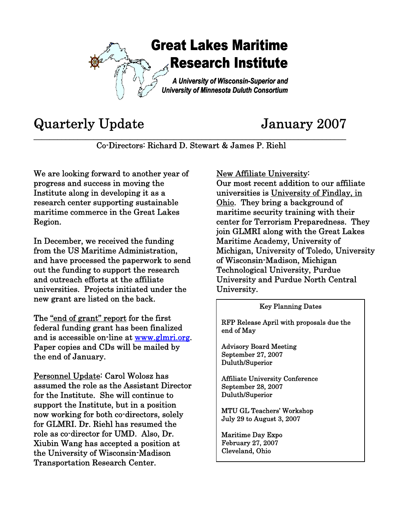

## Quarterly Update January 2007

**\_\_\_\_\_\_\_\_\_\_\_\_\_\_\_\_\_\_\_\_\_\_\_\_\_\_\_\_\_\_\_\_\_\_\_\_\_\_\_\_\_\_\_\_\_\_\_\_\_\_\_\_\_\_\_\_\_\_\_\_\_\_\_\_\_\_\_\_\_\_\_\_\_\_\_\_\_\_**  Co-Directors: Richard D. Stewart & James P. Riehl

We are looking forward to another year of progress and success in moving the Institute along in developing it as a research center supporting sustainable maritime commerce in the Great Lakes Region.

In December, we received the funding from the US Maritime Administration, and have processed the paperwork to send out the funding to support the research and outreach efforts at the affiliate universities. Projects initiated under the new grant are listed on the back.

The "end of grant" report for the first federal funding grant has been finalized and is accessible on-line at www.glmri.org. Paper copies and CDs will be mailed by the end of January.

Personnel Update: Carol Wolosz has assumed the role as the Assistant Director for the Institute. She will continue to support the Institute, but in a position now working for both co-directors, solely for GLMRI. Dr. Riehl has resumed the role as co-director for UMD. Also, Dr. Xiubin Wang has accepted a position at the University of Wisconsin-Madison Transportation Research Center.

New Affiliate University:

Our most recent addition to our affiliate universities is University of Findlay, in Ohio. They bring a background of maritime security training with their center for Terrorism Preparedness. They join GLMRI along with the Great Lakes Maritime Academy, University of Michigan, University of Toledo, University of Wisconsin-Madison, Michigan Technological University, Purdue University and Purdue North Central University.

## Key Planning Dates

RFP Release April with proposals due the end of May

Advisory Board Meeting September 27, 2007 Duluth/Superior

.<br>Г  $\overline{\phantom{a}}$ 

 $\overline{\phantom{a}}$  $\overline{\phantom{a}}$  $\overline{\phantom{a}}$  $\overline{\phantom{a}}$  $\overline{\phantom{a}}$  Affiliate University Conference September 28, 2007 Duluth/Superior

MTU GL Teachers' Workshop July 29 to August 3, 2007

Maritime Day Expo February 27, 2007 Cleveland, Ohio